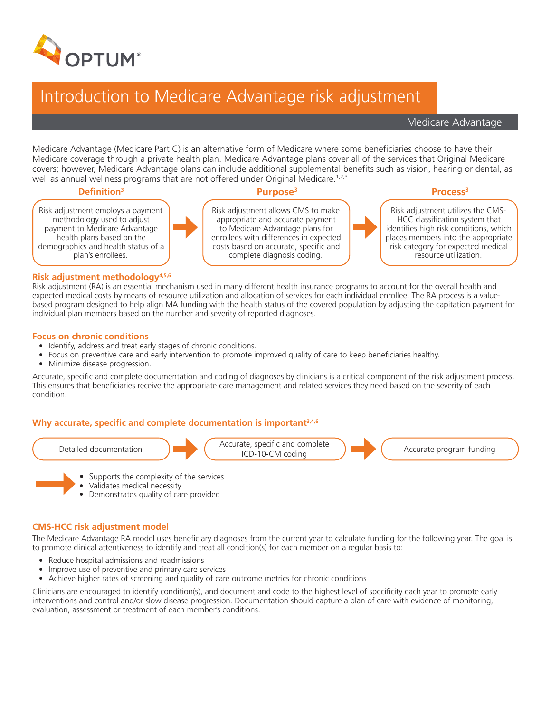

## Introduction to Medicare Advantage risk adjustment

Medicare Advantage

Medicare Advantage (Medicare Part C) is an alternative form of Medicare where some beneficiaries choose to have their Medicare coverage through a private health plan. Medicare Advantage plans cover all of the services that Original Medicare covers; however, Medicare Advantage plans can include additional supplemental benefits such as vision, hearing or dental, as well as annual wellness programs that are not offered under Original Medicare.<sup>1,2,3</sup>

### **Definition3 Purpose3 Process3**

Risk adjustment employs a payment methodology used to adjust payment to Medicare Advantage health plans based on the demographics and health status of a plan's enrollees.



Risk adjustment allows CMS to make appropriate and accurate payment to Medicare Advantage plans for enrollees with differences in expected costs based on accurate, specific and complete diagnosis coding.

Risk adjustment utilizes the CMS-HCC classification system that identifies high risk conditions, which places members into the appropriate risk category for expected medical resource utilization.

### **Risk adjustment methodology4,5,6**

Risk adjustment (RA) is an essential mechanism used in many different health insurance programs to account for the overall health and expected medical costs by means of resource utilization and allocation of services for each individual enrollee. The RA process is a valuebased program designed to help align MA funding with the health status of the covered population by adjusting the capitation payment for individual plan members based on the number and severity of reported diagnoses.

### **Focus on chronic conditions**

- Identify, address and treat early stages of chronic conditions.
- Focus on preventive care and early intervention to promote improved quality of care to keep beneficiaries healthy.
- Minimize disease progression.

Accurate, specific and complete documentation and coding of diagnoses by clinicians is a critical component of the risk adjustment process. This ensures that beneficiaries receive the appropriate care management and related services they need based on the severity of each condition.

### **Why accurate, specific and complete documentation is important3,4,6**



- Supports the complexity of the services
- Validates medical necessity
- Demonstrates quality of care provided

### **CMS-HCC risk adjustment model**

The Medicare Advantage RA model uses beneficiary diagnoses from the current year to calculate funding for the following year. The goal is to promote clinical attentiveness to identify and treat all condition(s) for each member on a regular basis to:

- Reduce hospital admissions and readmissions
- Improve use of preventive and primary care services
- Achieve higher rates of screening and quality of care outcome metrics for chronic conditions

Clinicians are encouraged to identify condition(s), and document and code to the highest level of specificity each year to promote early interventions and control and/or slow disease progression. Documentation should capture a plan of care with evidence of monitoring, evaluation, assessment or treatment of each member's conditions.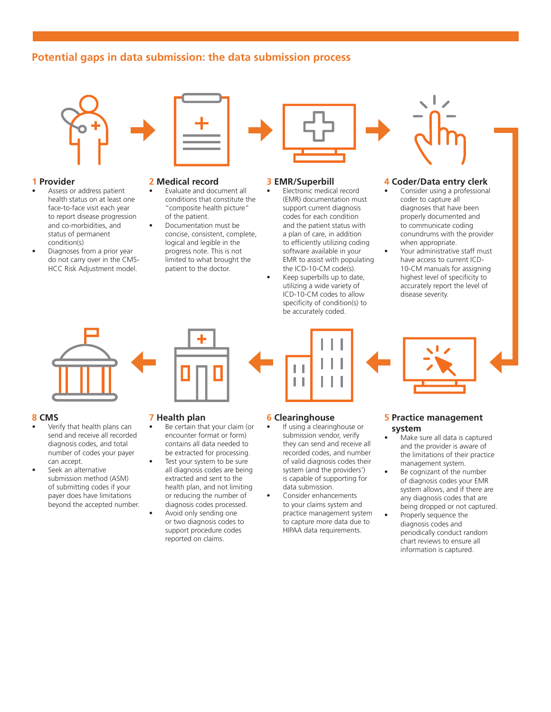### **Potential gaps in data submission: the data submission process**



### **1 Provider**

- Assess or address patient health status on at least one face-to-face visit each year to report disease progression and co-morbidities, and status of permanent condition(s)
- Diagnoses from a prior year do not carry over in the CMS-HCC Risk Adjustment model.



### **2 Medical record**

- Evaluate and document all conditions that constitute the "composite health picture" of the patient.
- Documentation must be concise, consistent, complete, logical and legible in the progress note. This is not limited to what brought the patient to the doctor.



### **3 EMR/Superbill**

- Electronic medical record (EMR) documentation must support current diagnosis codes for each condition and the patient status with a plan of care, in addition to efficiently utilizing coding software available in your EMR to assist with populating the ICD-10-CM code(s).
- Keep superbills up to date, utilizing a wide variety of ICD-10-CM codes to allow specificity of condition(s) to be accurately coded.

### **4 Coder/Data entry clerk**

- Consider using a professional coder to capture all diagnoses that have been properly documented and to communicate coding conundrums with the provider when appropriate.
	- Your administrative staff must have access to current ICD-10-CM manuals for assigning highest level of specificity to accurately report the level of disease severity.



# H П

# **5 Practice management**

### **system**

- Make sure all data is captured and the provider is aware of the limitations of their practice management system.
- Be cognizant of the number of diagnosis codes your EMR system allows, and if there are any diagnosis codes that are being dropped or not captured.
- Properly sequence the diagnosis codes and periodically conduct random chart reviews to ensure all information is captured.

### **8 CMS**

- Verify that health plans can send and receive all recorded diagnosis codes, and total number of codes your payer can accept.
- Seek an alternative submission method (ASM) of submitting codes if your payer does have limitations beyond the accepted number.

### **7 Health plan**

Be certain that your claim (or encounter format or form) contains all data needed to be extracted for processing. Test your system to be sure all diagnosis codes are being extracted and sent to the health plan, and not limiting or reducing the number of diagnosis codes processed. Avoid only sending one or two diagnosis codes to support procedure codes reported on claims.

### **6 Clearinghouse**

- If using a clearinghouse or submission vendor, verify they can send and receive all recorded codes, and number of valid diagnosis codes their system (and the providers') is capable of supporting for data submission.
- Consider enhancements to your claims system and practice management system to capture more data due to HIPAA data requirements.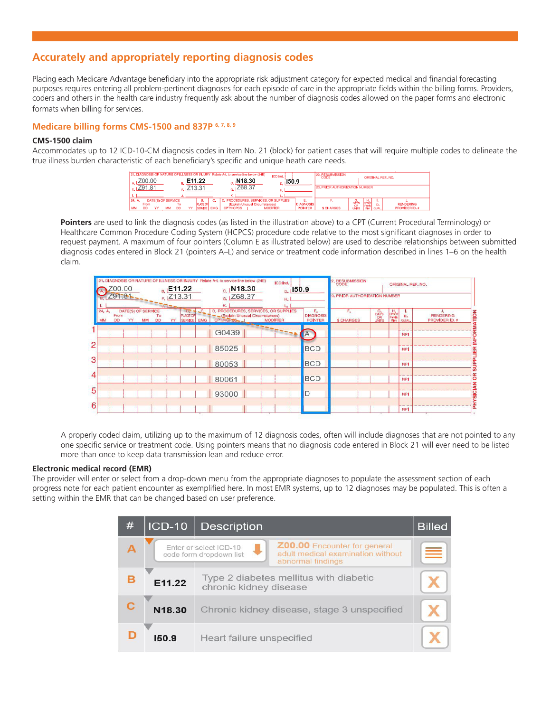### **Accurately and appropriately reporting diagnosis codes**

Placing each Medicare Advantage beneficiary into the appropriate risk adjustment category for expected medical and financial forecasting purposes requires entering all problem-pertinent diagnoses for each episode of care in the appropriate fields within the billing forms. Providers, coders and others in the health care industry frequently ask about the number of diagnosis codes allowed on the paper forms and electronic formats when billing for services.

### **Medicare billing forms CMS-1500 and 837P 6, 7, 8, 9**

### **CMS-1500 claim**

Accommodates up to 12 ICD-10-CM diagnosis codes in Item No. 21 (block) for patient cases that will require multiple codes to delineate the true illness burden characteristic of each beneficiary's specific and unique heath care needs.

| 21. DIAGNOSIS OR NATURE OF ILLNESS OR INJURY Relate A-L to service line below (24E)<br>Z00.00 | E11.22                                         | N <sub>18.30</sub>                                                      | <b>ICD Ind.</b><br>150.9 |                  | 22. RESUBMISSION                      |                           | ORIGINAL REF, NO.  |                  |
|-----------------------------------------------------------------------------------------------|------------------------------------------------|-------------------------------------------------------------------------|--------------------------|------------------|---------------------------------------|---------------------------|--------------------|------------------|
| Z91.81                                                                                        | Z13.31                                         | 768.37                                                                  | Н.                       |                  | <b>23. PRIOR AUTHORIZATION NUMBER</b> |                           |                    |                  |
|                                                                                               |                                                | κ.                                                                      |                          |                  |                                       |                           |                    |                  |
| DATE(S) OF SERVICE<br>24. A                                                                   |                                                | D. PROCEDURES, SERVICES, OR SUPPLIES<br>(Explain Unusual Circumstances) |                          | <b>DIAGNOSIS</b> |                                       | DAYS                      | ъ.                 | <b>RENDERING</b> |
| From<br>MM<br>DD<br>MM<br>DD                                                                  | <b>PLACE O</b><br><b>EMG</b><br><b>SERVICE</b> | <b>CPT/HCPCS</b>                                                        | <b>MODIFIER</b>          | <b>POINTER</b>   | <b>S CHARGES</b>                      | <b>OR</b><br><b>UNITS</b> | IO.<br><b>QUAL</b> | PROVIDER ID. #   |

**Pointers** are used to link the diagnosis codes (as listed in the illustration above) to a CPT (Current Procedural Terminology) or Healthcare Common Procedure Coding System (HCPCS) procedure code relative to the most significant diagnoses in order to request payment. A maximum of four pointers (Column E as illustrated below) are used to describe relationships between submitted diagnosis codes entered in Block 21 (pointers A–L) and service or treatment code information described in lines 1–6 on the health claim.

|                | 21. DIAGNOSIS OR NATURE OF ILLNESS OR INJURY Relate A-L to service line below (24E)<br>Z00.00<br>E11.22<br>R.                                                               | <b>ICD Ind.</b><br>$c$   N18.30<br>$D.$ 150.9                                                            |                                          | 22. RESUBMISSION                              |                          | ORIGINAL REF. NO.                                       |  |
|----------------|-----------------------------------------------------------------------------------------------------------------------------------------------------------------------------|----------------------------------------------------------------------------------------------------------|------------------------------------------|-----------------------------------------------|--------------------------|---------------------------------------------------------|--|
|                | 291.81<br>Z <sub>13.31</sub>                                                                                                                                                | $G$ <sub>1</sub> Z68.37<br>к.<br>L,                                                                      |                                          | 23, PRIOR AUTHORIZATION NUMBER                |                          |                                                         |  |
|                | $E_{\rm r}$<br>24. A.<br>DATE(S) OF SERVICE<br><b>PLACE OF</b><br>From<br>To<br><b>YY</b><br><b>DD</b><br><b>DD</b><br>YY<br>MM<br>MM<br><b>EMG</b><br>SERVICE <sup>1</sup> | D. PROCEDURES, SERVICES, OR SUPPLIES<br>-(Explain Unusual Circumstances)<br>CPT/HCPOS<br><b>MODIFIER</b> | E.<br><b>DIAGNOSIS</b><br><b>POINTER</b> | F.<br>G.<br>DAYS<br>UNITS<br><b>S CHARGES</b> | Harbor<br>Family<br>Plan | J.<br><b>RENDERING</b><br>ID.<br>PROVIDER ID. #<br>QUAL |  |
|                |                                                                                                                                                                             | G0439                                                                                                    | <b>IA</b>                                |                                               |                          | <b>NPI</b>                                              |  |
| $\overline{2}$ |                                                                                                                                                                             | 85025                                                                                                    | <b>BCD</b>                               |                                               |                          | NP.                                                     |  |
| 3              |                                                                                                                                                                             | 80053                                                                                                    | <b>BCD</b>                               |                                               |                          | <b>NPI</b>                                              |  |
| 4              |                                                                                                                                                                             | 80061                                                                                                    | <b>BCD</b>                               |                                               |                          | <b>NPI</b>                                              |  |
| 5              |                                                                                                                                                                             | 93000                                                                                                    | D                                        |                                               |                          | <b>NPI</b>                                              |  |
| 6              |                                                                                                                                                                             |                                                                                                          |                                          |                                               |                          | <b>NPI</b>                                              |  |

A properly coded claim, utilizing up to the maximum of 12 diagnosis codes, often will include diagnoses that are not pointed to any one specific service or treatment code. Using pointers means that no diagnosis code entered in Block 21 will ever need to be listed more than once to keep data transmission lean and reduce error.

### **Electronic medical record (EMR)**

The provider will enter or select from a drop-down menu from the appropriate diagnoses to populate the assessment section of each progress note for each patient encounter as exemplified here. In most EMR systems, up to 12 diagnoses may be populated. This is often a setting within the EMR that can be changed based on user preference.

| # | <b>ICD-10</b> | <b>Description</b>                                                                                                                          |   |  |
|---|---------------|---------------------------------------------------------------------------------------------------------------------------------------------|---|--|
|   |               | Z00.00 Encounter for general<br>Enter or select ICD-10<br>adult medical examination without<br>code form dropdown list<br>abnormal findings | ≣ |  |
| в | E11.22        | Type 2 diabetes mellitus with diabetic<br>chronic kidney disease                                                                            |   |  |
|   | N18.30        | Chronic kidney disease, stage 3 unspecified                                                                                                 |   |  |
|   | 150.9         | Heart failure unspecified                                                                                                                   |   |  |